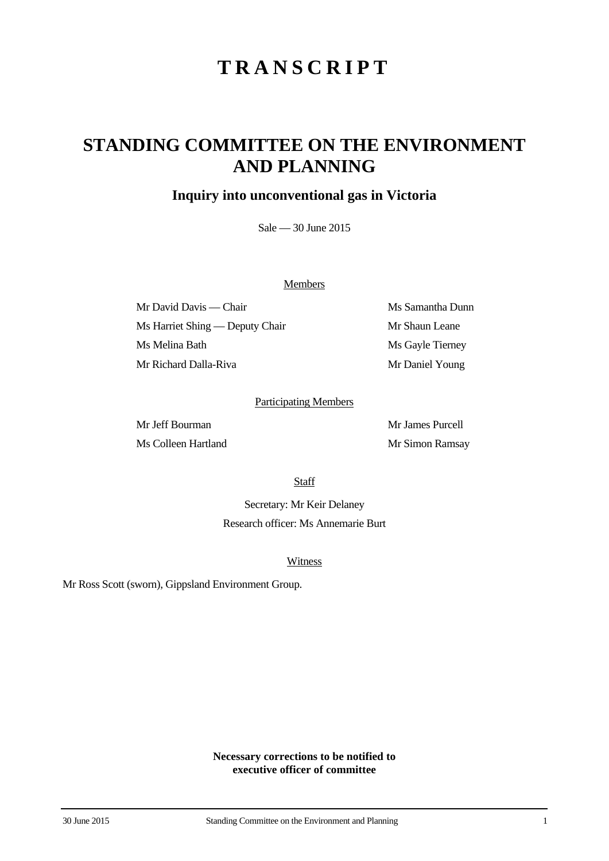# **TRANSCRIPT**

## **STANDING COMMITTEE ON THE ENVIRONMENT AND PLANNING**

### **Inquiry into unconventional gas in Victoria**

Sale — 30 June 2015

#### **Members**

Mr David Davis — Chair Ms Samantha Dunn Ms Harriet Shing — Deputy Chair Mr Shaun Leane Ms Melina Bath Ms Gayle Tierney Mr Richard Dalla-Riva Mr Daniel Young

#### Participating Members

Ms Colleen Hartland Mr Simon Ramsay

Mr Jeff Bourman Mr James Purcell

**Staff** 

Secretary: Mr Keir Delaney Research officer: Ms Annemarie Burt

**Witness** 

Mr Ross Scott (sworn), Gippsland Environment Group.

**Necessary corrections to be notified to executive officer of committee**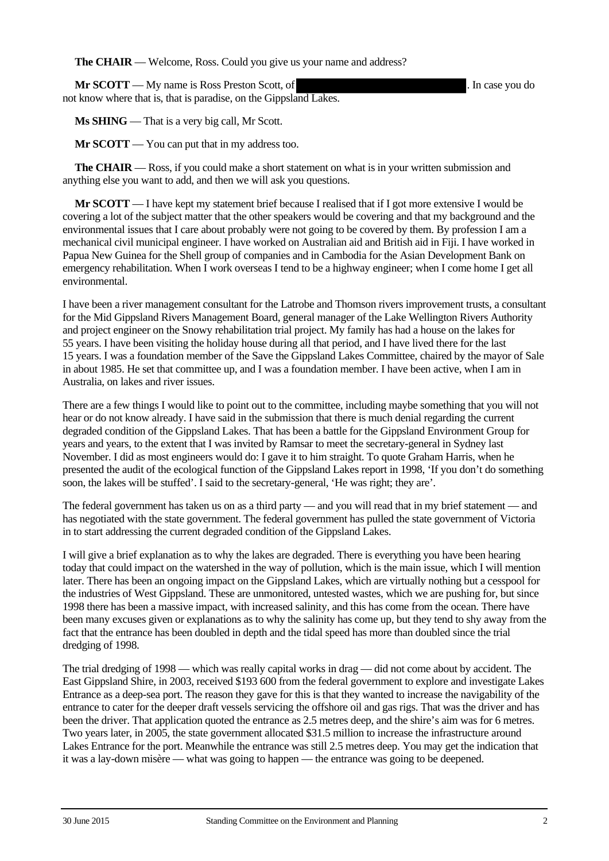**The CHAIR** — Welcome, Ross. Could you give us your name and address?

**Mr SCOTT** — My name is Ross Preston Scott, of . In case you do not know where that is, that is paradise, on the Gippsland Lakes.

**Ms SHING** — That is a very big call, Mr Scott.

**Mr SCOTT** — You can put that in my address too.

**The CHAIR** — Ross, if you could make a short statement on what is in your written submission and anything else you want to add, and then we will ask you questions.

**Mr SCOTT** — I have kept my statement brief because I realised that if I got more extensive I would be covering a lot of the subject matter that the other speakers would be covering and that my background and the environmental issues that I care about probably were not going to be covered by them. By profession I am a mechanical civil municipal engineer. I have worked on Australian aid and British aid in Fiji. I have worked in Papua New Guinea for the Shell group of companies and in Cambodia for the Asian Development Bank on emergency rehabilitation. When I work overseas I tend to be a highway engineer; when I come home I get all environmental.

I have been a river management consultant for the Latrobe and Thomson rivers improvement trusts, a consultant for the Mid Gippsland Rivers Management Board, general manager of the Lake Wellington Rivers Authority and project engineer on the Snowy rehabilitation trial project. My family has had a house on the lakes for 55 years. I have been visiting the holiday house during all that period, and I have lived there for the last 15 years. I was a foundation member of the Save the Gippsland Lakes Committee, chaired by the mayor of Sale in about 1985. He set that committee up, and I was a foundation member. I have been active, when I am in Australia, on lakes and river issues.

There are a few things I would like to point out to the committee, including maybe something that you will not hear or do not know already. I have said in the submission that there is much denial regarding the current degraded condition of the Gippsland Lakes. That has been a battle for the Gippsland Environment Group for years and years, to the extent that I was invited by Ramsar to meet the secretary-general in Sydney last November. I did as most engineers would do: I gave it to him straight. To quote Graham Harris, when he presented the audit of the ecological function of the Gippsland Lakes report in 1998, 'If you don't do something soon, the lakes will be stuffed'. I said to the secretary-general, 'He was right; they are'.

The federal government has taken us on as a third party — and you will read that in my brief statement — and has negotiated with the state government. The federal government has pulled the state government of Victoria in to start addressing the current degraded condition of the Gippsland Lakes.

I will give a brief explanation as to why the lakes are degraded. There is everything you have been hearing today that could impact on the watershed in the way of pollution, which is the main issue, which I will mention later. There has been an ongoing impact on the Gippsland Lakes, which are virtually nothing but a cesspool for the industries of West Gippsland. These are unmonitored, untested wastes, which we are pushing for, but since 1998 there has been a massive impact, with increased salinity, and this has come from the ocean. There have been many excuses given or explanations as to why the salinity has come up, but they tend to shy away from the fact that the entrance has been doubled in depth and the tidal speed has more than doubled since the trial dredging of 1998.

The trial dredging of 1998 — which was really capital works in drag — did not come about by accident. The East Gippsland Shire, in 2003, received \$193 600 from the federal government to explore and investigate Lakes Entrance as a deep-sea port. The reason they gave for this is that they wanted to increase the navigability of the entrance to cater for the deeper draft vessels servicing the offshore oil and gas rigs. That was the driver and has been the driver. That application quoted the entrance as 2.5 metres deep, and the shire's aim was for 6 metres. Two years later, in 2005, the state government allocated \$31.5 million to increase the infrastructure around Lakes Entrance for the port. Meanwhile the entrance was still 2.5 metres deep. You may get the indication that it was a lay-down misère — what was going to happen — the entrance was going to be deepened.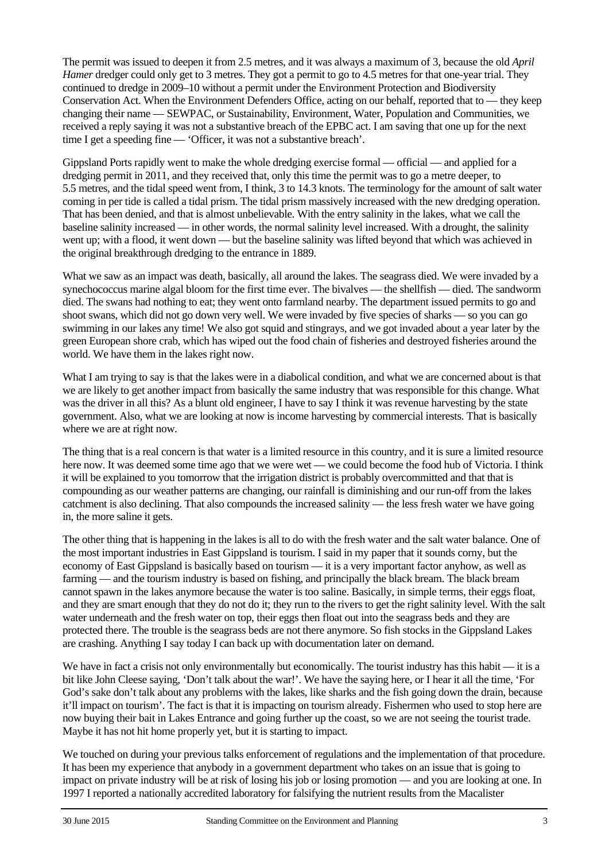The permit was issued to deepen it from 2.5 metres, and it was always a maximum of 3, because the old *April Hamer* dredger could only get to 3 metres. They got a permit to go to 4.5 metres for that one-year trial. They continued to dredge in 2009–10 without a permit under the Environment Protection and Biodiversity Conservation Act. When the Environment Defenders Office, acting on our behalf, reported that to — they keep changing their name — SEWPAC, or Sustainability, Environment, Water, Population and Communities, we received a reply saying it was not a substantive breach of the EPBC act. I am saving that one up for the next time I get a speeding fine — 'Officer, it was not a substantive breach'.

Gippsland Ports rapidly went to make the whole dredging exercise formal — official — and applied for a dredging permit in 2011, and they received that, only this time the permit was to go a metre deeper, to 5.5 metres, and the tidal speed went from, I think, 3 to 14.3 knots. The terminology for the amount of salt water coming in per tide is called a tidal prism. The tidal prism massively increased with the new dredging operation. That has been denied, and that is almost unbelievable. With the entry salinity in the lakes, what we call the baseline salinity increased — in other words, the normal salinity level increased. With a drought, the salinity went up; with a flood, it went down — but the baseline salinity was lifted beyond that which was achieved in the original breakthrough dredging to the entrance in 1889.

What we saw as an impact was death, basically, all around the lakes. The seagrass died. We were invaded by a synechococcus marine algal bloom for the first time ever. The bivalves — the shellfish — died. The sandworm died. The swans had nothing to eat; they went onto farmland nearby. The department issued permits to go and shoot swans, which did not go down very well. We were invaded by five species of sharks — so you can go swimming in our lakes any time! We also got squid and stingrays, and we got invaded about a year later by the green European shore crab, which has wiped out the food chain of fisheries and destroyed fisheries around the world. We have them in the lakes right now.

What I am trying to say is that the lakes were in a diabolical condition, and what we are concerned about is that we are likely to get another impact from basically the same industry that was responsible for this change. What was the driver in all this? As a blunt old engineer, I have to say I think it was revenue harvesting by the state government. Also, what we are looking at now is income harvesting by commercial interests. That is basically where we are at right now.

The thing that is a real concern is that water is a limited resource in this country, and it is sure a limited resource here now. It was deemed some time ago that we were wet — we could become the food hub of Victoria. I think it will be explained to you tomorrow that the irrigation district is probably overcommitted and that that is compounding as our weather patterns are changing, our rainfall is diminishing and our run-off from the lakes catchment is also declining. That also compounds the increased salinity — the less fresh water we have going in, the more saline it gets.

The other thing that is happening in the lakes is all to do with the fresh water and the salt water balance. One of the most important industries in East Gippsland is tourism. I said in my paper that it sounds corny, but the economy of East Gippsland is basically based on tourism — it is a very important factor anyhow, as well as farming — and the tourism industry is based on fishing, and principally the black bream. The black bream cannot spawn in the lakes anymore because the water is too saline. Basically, in simple terms, their eggs float, and they are smart enough that they do not do it; they run to the rivers to get the right salinity level. With the salt water underneath and the fresh water on top, their eggs then float out into the seagrass beds and they are protected there. The trouble is the seagrass beds are not there anymore. So fish stocks in the Gippsland Lakes are crashing. Anything I say today I can back up with documentation later on demand.

We have in fact a crisis not only environmentally but economically. The tourist industry has this habit — it is a bit like John Cleese saying, 'Don't talk about the war!'. We have the saying here, or I hear it all the time, 'For God's sake don't talk about any problems with the lakes, like sharks and the fish going down the drain, because it'll impact on tourism'. The fact is that it is impacting on tourism already. Fishermen who used to stop here are now buying their bait in Lakes Entrance and going further up the coast, so we are not seeing the tourist trade. Maybe it has not hit home properly yet, but it is starting to impact.

We touched on during your previous talks enforcement of regulations and the implementation of that procedure. It has been my experience that anybody in a government department who takes on an issue that is going to impact on private industry will be at risk of losing his job or losing promotion — and you are looking at one. In 1997 I reported a nationally accredited laboratory for falsifying the nutrient results from the Macalister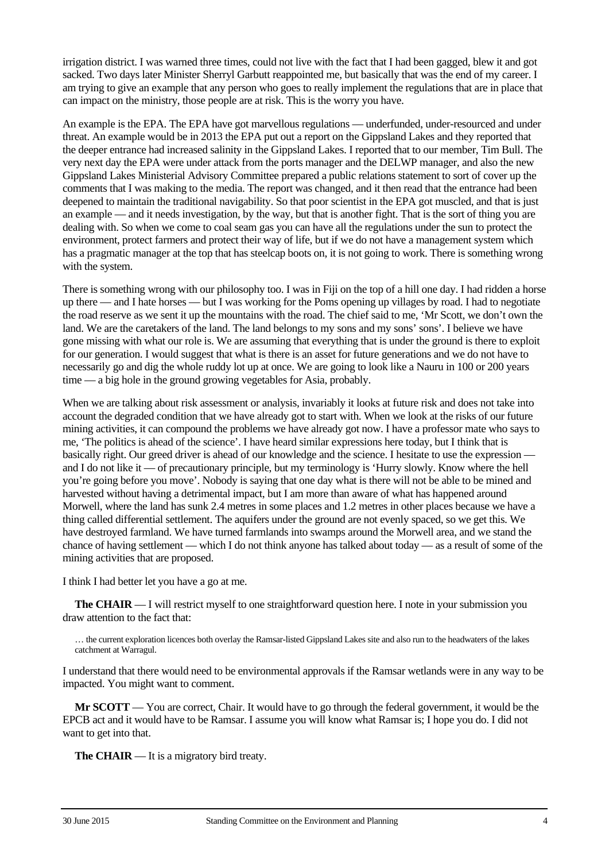irrigation district. I was warned three times, could not live with the fact that I had been gagged, blew it and got sacked. Two days later Minister Sherryl Garbutt reappointed me, but basically that was the end of my career. I am trying to give an example that any person who goes to really implement the regulations that are in place that can impact on the ministry, those people are at risk. This is the worry you have.

An example is the EPA. The EPA have got marvellous regulations — underfunded, under-resourced and under threat. An example would be in 2013 the EPA put out a report on the Gippsland Lakes and they reported that the deeper entrance had increased salinity in the Gippsland Lakes. I reported that to our member, Tim Bull. The very next day the EPA were under attack from the ports manager and the DELWP manager, and also the new Gippsland Lakes Ministerial Advisory Committee prepared a public relations statement to sort of cover up the comments that I was making to the media. The report was changed, and it then read that the entrance had been deepened to maintain the traditional navigability. So that poor scientist in the EPA got muscled, and that is just an example — and it needs investigation, by the way, but that is another fight. That is the sort of thing you are dealing with. So when we come to coal seam gas you can have all the regulations under the sun to protect the environment, protect farmers and protect their way of life, but if we do not have a management system which has a pragmatic manager at the top that has steelcap boots on, it is not going to work. There is something wrong with the system.

There is something wrong with our philosophy too. I was in Fiji on the top of a hill one day. I had ridden a horse up there — and I hate horses — but I was working for the Poms opening up villages by road. I had to negotiate the road reserve as we sent it up the mountains with the road. The chief said to me, 'Mr Scott, we don't own the land. We are the caretakers of the land. The land belongs to my sons and my sons' sons'. I believe we have gone missing with what our role is. We are assuming that everything that is under the ground is there to exploit for our generation. I would suggest that what is there is an asset for future generations and we do not have to necessarily go and dig the whole ruddy lot up at once. We are going to look like a Nauru in 100 or 200 years time — a big hole in the ground growing vegetables for Asia, probably.

When we are talking about risk assessment or analysis, invariably it looks at future risk and does not take into account the degraded condition that we have already got to start with. When we look at the risks of our future mining activities, it can compound the problems we have already got now. I have a professor mate who says to me, 'The politics is ahead of the science'. I have heard similar expressions here today, but I think that is basically right. Our greed driver is ahead of our knowledge and the science. I hesitate to use the expression and I do not like it — of precautionary principle, but my terminology is 'Hurry slowly. Know where the hell you're going before you move'. Nobody is saying that one day what is there will not be able to be mined and harvested without having a detrimental impact, but I am more than aware of what has happened around Morwell, where the land has sunk 2.4 metres in some places and 1.2 metres in other places because we have a thing called differential settlement. The aquifers under the ground are not evenly spaced, so we get this. We have destroyed farmland. We have turned farmlands into swamps around the Morwell area, and we stand the chance of having settlement — which I do not think anyone has talked about today — as a result of some of the mining activities that are proposed.

I think I had better let you have a go at me.

**The CHAIR** — I will restrict myself to one straightforward question here. I note in your submission you draw attention to the fact that:

… the current exploration licences both overlay the Ramsar-listed Gippsland Lakes site and also run to the headwaters of the lakes catchment at Warragul.

I understand that there would need to be environmental approvals if the Ramsar wetlands were in any way to be impacted. You might want to comment.

**Mr SCOTT** — You are correct, Chair. It would have to go through the federal government, it would be the EPCB act and it would have to be Ramsar. I assume you will know what Ramsar is; I hope you do. I did not want to get into that.

**The CHAIR** — It is a migratory bird treaty.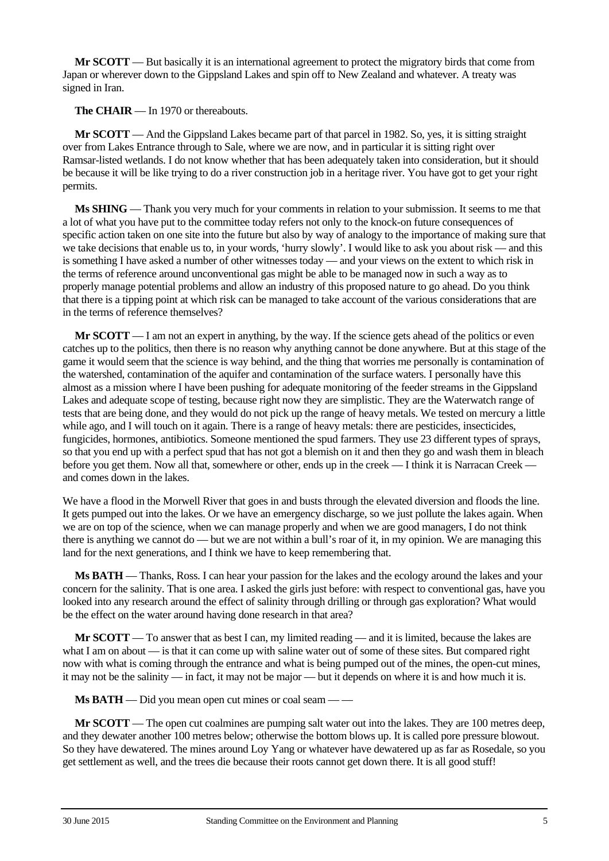**Mr SCOTT** — But basically it is an international agreement to protect the migratory birds that come from Japan or wherever down to the Gippsland Lakes and spin off to New Zealand and whatever. A treaty was signed in Iran.

**The CHAIR** — In 1970 or thereabouts.

**Mr SCOTT** — And the Gippsland Lakes became part of that parcel in 1982. So, yes, it is sitting straight over from Lakes Entrance through to Sale, where we are now, and in particular it is sitting right over Ramsar-listed wetlands. I do not know whether that has been adequately taken into consideration, but it should be because it will be like trying to do a river construction job in a heritage river. You have got to get your right permits.

**Ms SHING** — Thank you very much for your comments in relation to your submission. It seems to me that a lot of what you have put to the committee today refers not only to the knock-on future consequences of specific action taken on one site into the future but also by way of analogy to the importance of making sure that we take decisions that enable us to, in your words, 'hurry slowly'. I would like to ask you about risk — and this is something I have asked a number of other witnesses today — and your views on the extent to which risk in the terms of reference around unconventional gas might be able to be managed now in such a way as to properly manage potential problems and allow an industry of this proposed nature to go ahead. Do you think that there is a tipping point at which risk can be managed to take account of the various considerations that are in the terms of reference themselves?

**Mr SCOTT** — I am not an expert in anything, by the way. If the science gets ahead of the politics or even catches up to the politics, then there is no reason why anything cannot be done anywhere. But at this stage of the game it would seem that the science is way behind, and the thing that worries me personally is contamination of the watershed, contamination of the aquifer and contamination of the surface waters. I personally have this almost as a mission where I have been pushing for adequate monitoring of the feeder streams in the Gippsland Lakes and adequate scope of testing, because right now they are simplistic. They are the Waterwatch range of tests that are being done, and they would do not pick up the range of heavy metals. We tested on mercury a little while ago, and I will touch on it again. There is a range of heavy metals: there are pesticides, insecticides, fungicides, hormones, antibiotics. Someone mentioned the spud farmers. They use 23 different types of sprays, so that you end up with a perfect spud that has not got a blemish on it and then they go and wash them in bleach before you get them. Now all that, somewhere or other, ends up in the creek — I think it is Narracan Creek and comes down in the lakes.

We have a flood in the Morwell River that goes in and busts through the elevated diversion and floods the line. It gets pumped out into the lakes. Or we have an emergency discharge, so we just pollute the lakes again. When we are on top of the science, when we can manage properly and when we are good managers, I do not think there is anything we cannot do — but we are not within a bull's roar of it, in my opinion. We are managing this land for the next generations, and I think we have to keep remembering that.

**Ms BATH** — Thanks, Ross. I can hear your passion for the lakes and the ecology around the lakes and your concern for the salinity. That is one area. I asked the girls just before: with respect to conventional gas, have you looked into any research around the effect of salinity through drilling or through gas exploration? What would be the effect on the water around having done research in that area?

**Mr SCOTT** — To answer that as best I can, my limited reading — and it is limited, because the lakes are what I am on about — is that it can come up with saline water out of some of these sites. But compared right now with what is coming through the entrance and what is being pumped out of the mines, the open-cut mines, it may not be the salinity — in fact, it may not be major — but it depends on where it is and how much it is.

**Ms BATH** — Did you mean open cut mines or coal seam — —

**Mr SCOTT** — The open cut coalmines are pumping salt water out into the lakes. They are 100 metres deep, and they dewater another 100 metres below; otherwise the bottom blows up. It is called pore pressure blowout. So they have dewatered. The mines around Loy Yang or whatever have dewatered up as far as Rosedale, so you get settlement as well, and the trees die because their roots cannot get down there. It is all good stuff!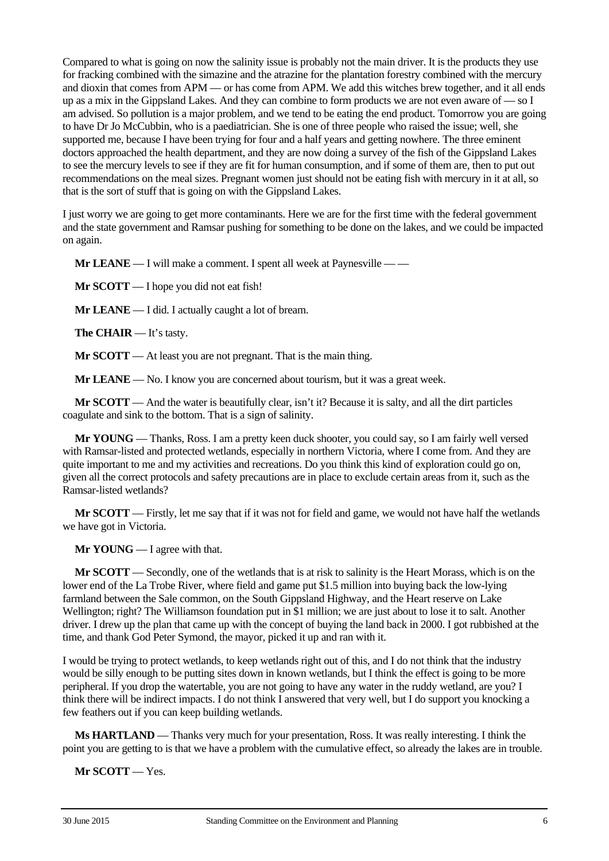Compared to what is going on now the salinity issue is probably not the main driver. It is the products they use for fracking combined with the simazine and the atrazine for the plantation forestry combined with the mercury and dioxin that comes from APM — or has come from APM. We add this witches brew together, and it all ends up as a mix in the Gippsland Lakes. And they can combine to form products we are not even aware of — so I am advised. So pollution is a major problem, and we tend to be eating the end product. Tomorrow you are going to have Dr Jo McCubbin, who is a paediatrician. She is one of three people who raised the issue; well, she supported me, because I have been trying for four and a half years and getting nowhere. The three eminent doctors approached the health department, and they are now doing a survey of the fish of the Gippsland Lakes to see the mercury levels to see if they are fit for human consumption, and if some of them are, then to put out recommendations on the meal sizes. Pregnant women just should not be eating fish with mercury in it at all, so that is the sort of stuff that is going on with the Gippsland Lakes.

I just worry we are going to get more contaminants. Here we are for the first time with the federal government and the state government and Ramsar pushing for something to be done on the lakes, and we could be impacted on again.

**Mr LEANE** — I will make a comment. I spent all week at Paynesville — —

**Mr SCOTT** — I hope you did not eat fish!

**Mr LEANE** — I did. I actually caught a lot of bream.

**The CHAIR** — It's tasty.

**Mr SCOTT** — At least you are not pregnant. That is the main thing.

**Mr LEANE** — No. I know you are concerned about tourism, but it was a great week.

**Mr SCOTT** — And the water is beautifully clear, isn't it? Because it is salty, and all the dirt particles coagulate and sink to the bottom. That is a sign of salinity.

**Mr YOUNG** — Thanks, Ross. I am a pretty keen duck shooter, you could say, so I am fairly well versed with Ramsar-listed and protected wetlands, especially in northern Victoria, where I come from. And they are quite important to me and my activities and recreations. Do you think this kind of exploration could go on, given all the correct protocols and safety precautions are in place to exclude certain areas from it, such as the Ramsar-listed wetlands?

**Mr SCOTT** — Firstly, let me say that if it was not for field and game, we would not have half the wetlands we have got in Victoria.

**Mr YOUNG** — I agree with that.

**Mr SCOTT** — Secondly, one of the wetlands that is at risk to salinity is the Heart Morass, which is on the lower end of the La Trobe River, where field and game put \$1.5 million into buying back the low-lying farmland between the Sale common, on the South Gippsland Highway, and the Heart reserve on Lake Wellington; right? The Williamson foundation put in \$1 million; we are just about to lose it to salt. Another driver. I drew up the plan that came up with the concept of buying the land back in 2000. I got rubbished at the time, and thank God Peter Symond, the mayor, picked it up and ran with it.

I would be trying to protect wetlands, to keep wetlands right out of this, and I do not think that the industry would be silly enough to be putting sites down in known wetlands, but I think the effect is going to be more peripheral. If you drop the watertable, you are not going to have any water in the ruddy wetland, are you? I think there will be indirect impacts. I do not think I answered that very well, but I do support you knocking a few feathers out if you can keep building wetlands.

**Ms HARTLAND** — Thanks very much for your presentation, Ross. It was really interesting. I think the point you are getting to is that we have a problem with the cumulative effect, so already the lakes are in trouble.

**Mr SCOTT** — Yes.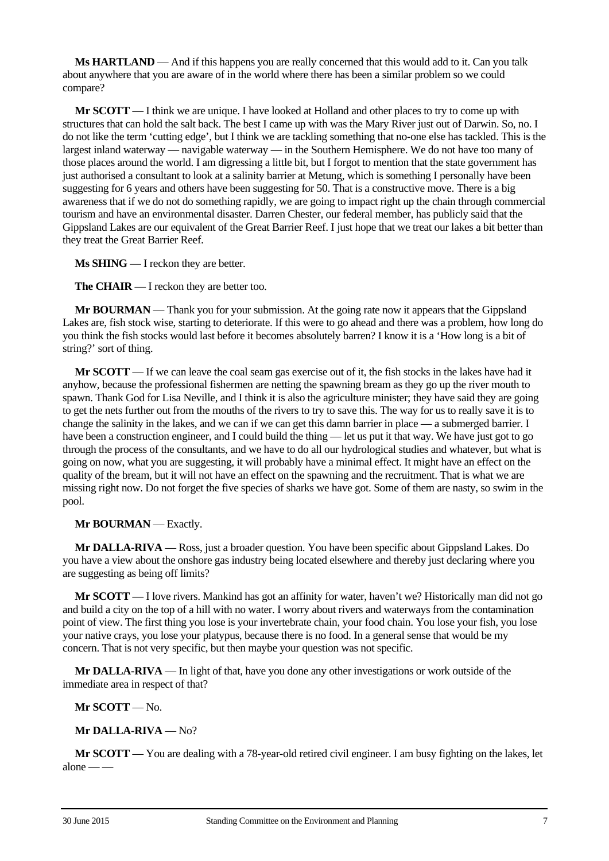**Ms HARTLAND** — And if this happens you are really concerned that this would add to it. Can you talk about anywhere that you are aware of in the world where there has been a similar problem so we could compare?

**Mr SCOTT** — I think we are unique. I have looked at Holland and other places to try to come up with structures that can hold the salt back. The best I came up with was the Mary River just out of Darwin. So, no. I do not like the term 'cutting edge', but I think we are tackling something that no-one else has tackled. This is the largest inland waterway — navigable waterway — in the Southern Hemisphere. We do not have too many of those places around the world. I am digressing a little bit, but I forgot to mention that the state government has just authorised a consultant to look at a salinity barrier at Metung, which is something I personally have been suggesting for 6 years and others have been suggesting for 50. That is a constructive move. There is a big awareness that if we do not do something rapidly, we are going to impact right up the chain through commercial tourism and have an environmental disaster. Darren Chester, our federal member, has publicly said that the Gippsland Lakes are our equivalent of the Great Barrier Reef. I just hope that we treat our lakes a bit better than they treat the Great Barrier Reef.

**Ms SHING** — I reckon they are better.

**The CHAIR** — I reckon they are better too.

**Mr BOURMAN** — Thank you for your submission. At the going rate now it appears that the Gippsland Lakes are, fish stock wise, starting to deteriorate. If this were to go ahead and there was a problem, how long do you think the fish stocks would last before it becomes absolutely barren? I know it is a 'How long is a bit of string?' sort of thing.

**Mr SCOTT** — If we can leave the coal seam gas exercise out of it, the fish stocks in the lakes have had it anyhow, because the professional fishermen are netting the spawning bream as they go up the river mouth to spawn. Thank God for Lisa Neville, and I think it is also the agriculture minister; they have said they are going to get the nets further out from the mouths of the rivers to try to save this. The way for us to really save it is to change the salinity in the lakes, and we can if we can get this damn barrier in place — a submerged barrier. I have been a construction engineer, and I could build the thing — let us put it that way. We have just got to go through the process of the consultants, and we have to do all our hydrological studies and whatever, but what is going on now, what you are suggesting, it will probably have a minimal effect. It might have an effect on the quality of the bream, but it will not have an effect on the spawning and the recruitment. That is what we are missing right now. Do not forget the five species of sharks we have got. Some of them are nasty, so swim in the pool.

#### **Mr BOURMAN** — Exactly.

**Mr DALLA-RIVA** — Ross, just a broader question. You have been specific about Gippsland Lakes. Do you have a view about the onshore gas industry being located elsewhere and thereby just declaring where you are suggesting as being off limits?

**Mr SCOTT** — I love rivers. Mankind has got an affinity for water, haven't we? Historically man did not go and build a city on the top of a hill with no water. I worry about rivers and waterways from the contamination point of view. The first thing you lose is your invertebrate chain, your food chain. You lose your fish, you lose your native crays, you lose your platypus, because there is no food. In a general sense that would be my concern. That is not very specific, but then maybe your question was not specific.

**Mr DALLA-RIVA** — In light of that, have you done any other investigations or work outside of the immediate area in respect of that?

#### **Mr SCOTT** — No.

#### **Mr DALLA-RIVA** — No?

**Mr SCOTT** — You are dealing with a 78-year-old retired civil engineer. I am busy fighting on the lakes, let  $alone - -$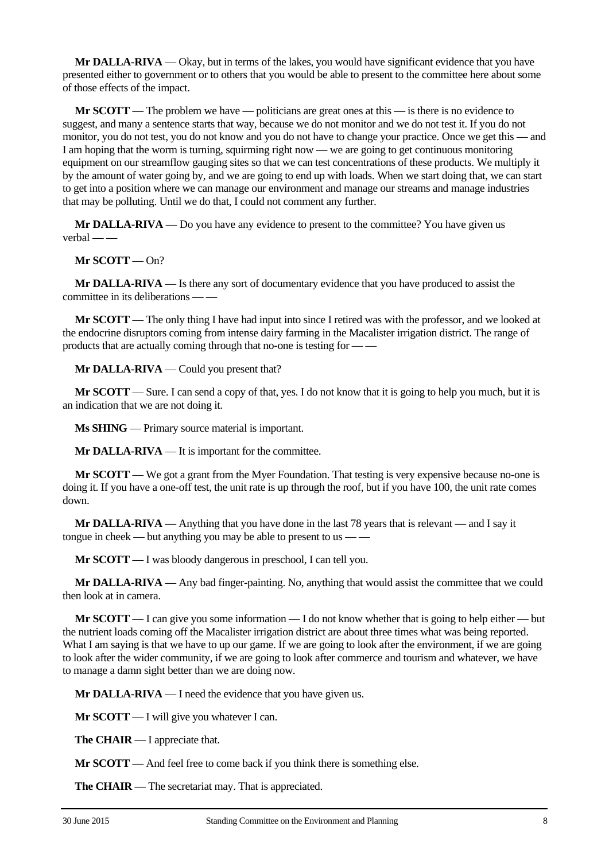**Mr DALLA-RIVA** — Okay, but in terms of the lakes, you would have significant evidence that you have presented either to government or to others that you would be able to present to the committee here about some of those effects of the impact.

**Mr SCOTT** — The problem we have — politicians are great ones at this — is there is no evidence to suggest, and many a sentence starts that way, because we do not monitor and we do not test it. If you do not monitor, you do not test, you do not know and you do not have to change your practice. Once we get this — and I am hoping that the worm is turning, squirming right now — we are going to get continuous monitoring equipment on our streamflow gauging sites so that we can test concentrations of these products. We multiply it by the amount of water going by, and we are going to end up with loads. When we start doing that, we can start to get into a position where we can manage our environment and manage our streams and manage industries that may be polluting. Until we do that, I could not comment any further.

**Mr DALLA-RIVA** — Do you have any evidence to present to the committee? You have given us  $verbal$  —

**Mr SCOTT** — On?

**Mr DALLA-RIVA** — Is there any sort of documentary evidence that you have produced to assist the committee in its deliberations — —

**Mr SCOTT** — The only thing I have had input into since I retired was with the professor, and we looked at the endocrine disruptors coming from intense dairy farming in the Macalister irrigation district. The range of products that are actually coming through that no-one is testing for — —

**Mr DALLA-RIVA** — Could you present that?

**Mr SCOTT** — Sure. I can send a copy of that, yes. I do not know that it is going to help you much, but it is an indication that we are not doing it.

**Ms SHING** — Primary source material is important.

**Mr DALLA-RIVA** — It is important for the committee.

**Mr SCOTT** — We got a grant from the Myer Foundation. That testing is very expensive because no-one is doing it. If you have a one-off test, the unit rate is up through the roof, but if you have 100, the unit rate comes down.

**Mr DALLA-RIVA** — Anything that you have done in the last 78 years that is relevant — and I say it tongue in cheek — but anything you may be able to present to us -

**Mr SCOTT** — I was bloody dangerous in preschool, I can tell you.

**Mr DALLA-RIVA** — Any bad finger-painting. No, anything that would assist the committee that we could then look at in camera.

**Mr SCOTT** — I can give you some information — I do not know whether that is going to help either — but the nutrient loads coming off the Macalister irrigation district are about three times what was being reported. What I am saying is that we have to up our game. If we are going to look after the environment, if we are going to look after the wider community, if we are going to look after commerce and tourism and whatever, we have to manage a damn sight better than we are doing now.

**Mr DALLA-RIVA** — I need the evidence that you have given us.

**Mr SCOTT** — I will give you whatever I can.

**The CHAIR** — I appreciate that.

**Mr SCOTT** — And feel free to come back if you think there is something else.

**The CHAIR** — The secretariat may. That is appreciated.